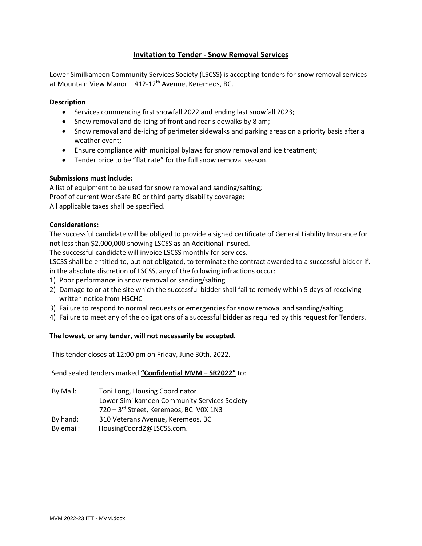# **Invitation to Tender - Snow Removal Services**

Lower Similkameen Community Services Society (LSCSS) is accepting tenders for snow removal services at Mountain View Manor  $-412-12$ <sup>th</sup> Avenue, Keremeos, BC.

## **Description**

- Services commencing first snowfall 2022 and ending last snowfall 2023;
- Snow removal and de-icing of front and rear sidewalks by 8 am;
- Snow removal and de-icing of perimeter sidewalks and parking areas on a priority basis after a weather event;
- Ensure compliance with municipal bylaws for snow removal and ice treatment;
- Tender price to be "flat rate" for the full snow removal season.

# **Submissions must include:**

A list of equipment to be used for snow removal and sanding/salting; Proof of current WorkSafe BC or third party disability coverage; All applicable taxes shall be specified.

## **Considerations:**

The successful candidate will be obliged to provide a signed certificate of General Liability Insurance for not less than \$2,000,000 showing LSCSS as an Additional Insured.

The successful candidate will invoice LSCSS monthly for services.

LSCSS shall be entitled to, but not obligated, to terminate the contract awarded to a successful bidder if, in the absolute discretion of LSCSS, any of the following infractions occur:

- 1) Poor performance in snow removal or sanding/salting
- 2) Damage to or at the site which the successful bidder shall fail to remedy within 5 days of receiving written notice from HSCHC
- 3) Failure to respond to normal requests or emergencies for snow removal and sanding/salting
- 4) Failure to meet any of the obligations of a successful bidder as required by this request for Tenders.

# **The lowest, or any tender, will not necessarily be accepted.**

This tender closes at 12:00 pm on Friday, June 30th, 2022.

Send sealed tenders marked **"Confidential MVM – SR2022"** to:

- By Mail: Toni Long, Housing Coordinator Lower Similkameen Community Services Society 720 – 3 rd Street, Keremeos, BC V0X 1N3 By hand: 310 Veterans Avenue, Keremeos, BC
- By email: HousingCoord2@LSCSS.com.